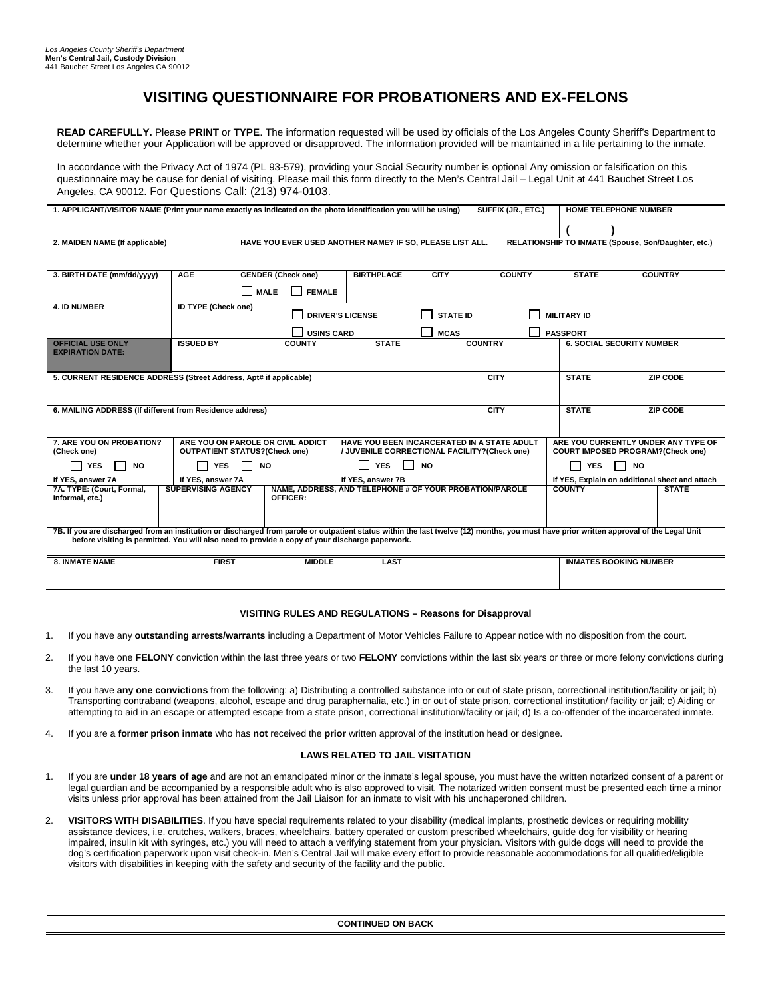## **VISITING QUESTIONNAIRE FOR PROBATIONERS AND EX-FELONS**

**READ CAREFULLY.** Please **PRINT** or **TYPE**. The information requested will be used by officials of the Los Angeles County Sheriff's Department to determine whether your Application will be approved or disapproved. The information provided will be maintained in a file pertaining to the inmate.

In accordance with the Privacy Act of 1974 (PL 93-579), providing your Social Security number is optional Any omission or falsification on this questionnaire may be cause for denial of visiting. Please mail this form directly to the Men's Central Jail – Legal Unit at 441 Bauchet Street Los Angeles, CA 90012. For Questions Call: (213) 974-0103.

| 1. APPLICANT/VISITOR NAME (Print your name exactly as indicated on the photo identification you will be using)                                                                                                                                                                             | SUFFIX (JR., ETC.)<br><b>HOME TELEPHONE NUMBER</b>                                             |                                                          |                                                         |             |                         |                                  |                                                     |  |
|--------------------------------------------------------------------------------------------------------------------------------------------------------------------------------------------------------------------------------------------------------------------------------------------|------------------------------------------------------------------------------------------------|----------------------------------------------------------|---------------------------------------------------------|-------------|-------------------------|----------------------------------|-----------------------------------------------------|--|
|                                                                                                                                                                                                                                                                                            |                                                                                                |                                                          |                                                         |             |                         |                                  |                                                     |  |
| 2. MAIDEN NAME (If applicable)                                                                                                                                                                                                                                                             |                                                                                                | HAVE YOU EVER USED ANOTHER NAME? IF SO, PLEASE LIST ALL. |                                                         |             |                         |                                  | RELATIONSHIP TO INMATE (Spouse, Son/Daughter, etc.) |  |
|                                                                                                                                                                                                                                                                                            |                                                                                                |                                                          |                                                         |             |                         |                                  |                                                     |  |
|                                                                                                                                                                                                                                                                                            |                                                                                                |                                                          |                                                         |             |                         |                                  |                                                     |  |
| 3. BIRTH DATE (mm/dd/yyyy)                                                                                                                                                                                                                                                                 | <b>AGE</b>                                                                                     | <b>GENDER (Check one)</b>                                | <b>BIRTHPLACE</b>                                       | <b>CITY</b> | <b>COUNTY</b>           | <b>STATE</b>                     | <b>COUNTRY</b>                                      |  |
|                                                                                                                                                                                                                                                                                            |                                                                                                | <b>MALE</b><br><b>FEMALE</b>                             |                                                         |             |                         |                                  |                                                     |  |
| <b>4. ID NUMBER</b>                                                                                                                                                                                                                                                                        | <b>ID TYPE (Check one)</b><br><b>DRIVER'S LICENSE</b><br><b>STATE ID</b><br><b>MILITARY ID</b> |                                                          |                                                         |             |                         |                                  |                                                     |  |
|                                                                                                                                                                                                                                                                                            |                                                                                                | <b>USINS CARD</b><br><b>MCAS</b><br><b>PASSPORT</b>      |                                                         |             |                         |                                  |                                                     |  |
| <b>OFFICIAL USE ONLY</b>                                                                                                                                                                                                                                                                   | <b>ISSUED BY</b>                                                                               | <b>COUNTY</b>                                            | <b>STATE</b>                                            |             | <b>COUNTRY</b>          | <b>6. SOCIAL SECURITY NUMBER</b> |                                                     |  |
| <b>EXPIRATION DATE:</b>                                                                                                                                                                                                                                                                    |                                                                                                |                                                          |                                                         |             |                         |                                  |                                                     |  |
|                                                                                                                                                                                                                                                                                            |                                                                                                |                                                          |                                                         |             |                         |                                  |                                                     |  |
| 5. CURRENT RESIDENCE ADDRESS (Street Address, Apt# if applicable)<br><b>CITY</b>                                                                                                                                                                                                           |                                                                                                |                                                          |                                                         |             |                         | <b>STATE</b>                     | <b>ZIP CODE</b>                                     |  |
|                                                                                                                                                                                                                                                                                            |                                                                                                |                                                          |                                                         |             |                         |                                  |                                                     |  |
| 6. MAILING ADDRESS (If different from Residence address)                                                                                                                                                                                                                                   | <b>CITY</b>                                                                                    | <b>STATE</b>                                             | <b>ZIP CODE</b>                                         |             |                         |                                  |                                                     |  |
|                                                                                                                                                                                                                                                                                            |                                                                                                |                                                          |                                                         |             |                         |                                  |                                                     |  |
| 7. ARE YOU ON PROBATION?                                                                                                                                                                                                                                                                   |                                                                                                | ARE YOU ON PAROLE OR CIVIL ADDICT                        | HAVE YOU BEEN INCARCERATED IN A STATE ADULT             |             |                         |                                  | ARE YOU CURRENTLY UNDER ANY TYPE OF                 |  |
| (Check one)                                                                                                                                                                                                                                                                                | <b>OUTPATIENT STATUS?(Check one)</b><br>/ JUVENILE CORRECTIONAL FACILITY? (Check one)          |                                                          |                                                         |             |                         |                                  | <b>COURT IMPOSED PROGRAM?(Check one)</b>            |  |
| <b>YES</b><br><b>NO</b>                                                                                                                                                                                                                                                                    | <b>YES</b><br>П                                                                                | $\mathsf{L}$<br><b>YES</b><br><b>NO</b><br><b>NO</b>     |                                                         |             | <b>YES</b><br><b>NO</b> |                                  |                                                     |  |
| If YES, answer 7A                                                                                                                                                                                                                                                                          | If YES, answer 7A                                                                              |                                                          | If YES, answer 7B                                       |             |                         |                                  | If YES, Explain on additional sheet and attach      |  |
| 7A. TYPE: (Court, Formal,<br>Informal, etc.)                                                                                                                                                                                                                                               | <b>SUPERVISING AGENCY</b>                                                                      | OFFICER:                                                 | NAME. ADDRESS, AND TELEPHONE # OF YOUR PROBATION/PAROLE |             |                         | <b>COUNTY</b>                    | <b>STATE</b>                                        |  |
|                                                                                                                                                                                                                                                                                            |                                                                                                |                                                          |                                                         |             |                         |                                  |                                                     |  |
|                                                                                                                                                                                                                                                                                            |                                                                                                |                                                          |                                                         |             |                         |                                  |                                                     |  |
| 7B. If you are discharged from an institution or discharged from parole or outpatient status within the last twelve (12) months, you must have prior written approval of the Legal Unit<br>before visiting is permitted. You will also need to provide a copy of your discharge paperwork. |                                                                                                |                                                          |                                                         |             |                         |                                  |                                                     |  |
|                                                                                                                                                                                                                                                                                            |                                                                                                |                                                          |                                                         |             |                         |                                  |                                                     |  |
| <b>8. INMATE NAME</b>                                                                                                                                                                                                                                                                      | <b>FIRST</b>                                                                                   | <b>MIDDLE</b>                                            | <b>LAST</b>                                             |             |                         | <b>INMATES BOOKING NUMBER</b>    |                                                     |  |
|                                                                                                                                                                                                                                                                                            |                                                                                                |                                                          |                                                         |             |                         |                                  |                                                     |  |

## **VISITING RULES AND REGULATIONS – Reasons for Disapproval**

- 1. If you have any **outstanding arrests/warrants** including a Department of Motor Vehicles Failure to Appear notice with no disposition from the court.
- 2. If you have one **FELONY** conviction within the last three years or two **FELONY** convictions within the last six years or three or more felony convictions during the last 10 years.
- 3. If you have **any one convictions** from the following: a) Distributing a controlled substance into or out of state prison, correctional institution/facility or jail; b) Transporting contraband (weapons, alcohol, escape and drug paraphernalia, etc.) in or out of state prison, correctional institution/ facility or jail; c) Aiding or attempting to aid in an escape or attempted escape from a state prison, correctional institution//facility or jail; d) Is a co-offender of the incarcerated inmate.
- 4. If you are a **former prison inmate** who has **not** received the **prior** written approval of the institution head or designee.

## **LAWS RELATED TO JAIL VISITATION**

- 1. If you are **under 18 years of age** and are not an emancipated minor or the inmate's legal spouse, you must have the written notarized consent of a parent or legal guardian and be accompanied by a responsible adult who is also approved to visit. The notarized written consent must be presented each time a minor visits unless prior approval has been attained from the Jail Liaison for an inmate to visit with his unchaperoned children.
- 2. **VISITORS WITH DISABILITIES**. If you have special requirements related to your disability (medical implants, prosthetic devices or requiring mobility assistance devices, i.e. crutches, walkers, braces, wheelchairs, battery operated or custom prescribed wheelchairs, guide dog for visibility or hearing impaired, insulin kit with syringes, etc.) you will need to attach a verifying statement from your physician. Visitors with guide dogs will need to provide the dog's certification paperwork upon visit check-in. Men's Central Jail will make every effort to provide reasonable accommodations for all qualified/eligible visitors with disabilities in keeping with the safety and security of the facility and the public.